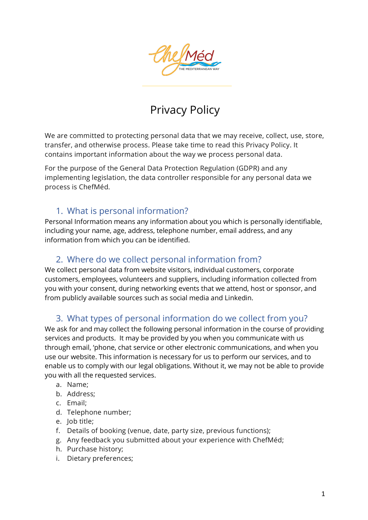

# Privacy Policy

We are committed to protecting personal data that we may receive, collect, use, store, transfer, and otherwise process. Please take time to read this Privacy Policy. It contains important information about the way we process personal data.

For the purpose of the General Data Protection Regulation (GDPR) and any implementing legislation, the data controller responsible for any personal data we process is ChefMéd.

### 1. What is personal information?

Personal Information means any information about you which is personally identifiable, including your name, age, address, telephone number, email address, and any information from which you can be identified.

#### 2. Where do we collect personal information from?

We collect personal data from website visitors, individual customers, corporate customers, employees, volunteers and suppliers, including information collected from you with your consent, during networking events that we attend, host or sponsor, and from publicly available sources such as social media and Linkedin.

## 3. What types of personal information do we collect from you?

We ask for and may collect the following personal information in the course of providing services and products. It may be provided by you when you communicate with us through email, 'phone, chat service or other electronic communications, and when you use our website. This information is necessary for us to perform our services, and to enable us to comply with our legal obligations. Without it, we may not be able to provide you with all the requested services.

- a. Name;
- b. Address;
- c. Email;
- d. Telephone number;
- e. Job title;
- f. Details of booking (venue, date, party size, previous functions);
- g. Any feedback you submitted about your experience with ChefMéd;
- h. Purchase history;
- i. Dietary preferences;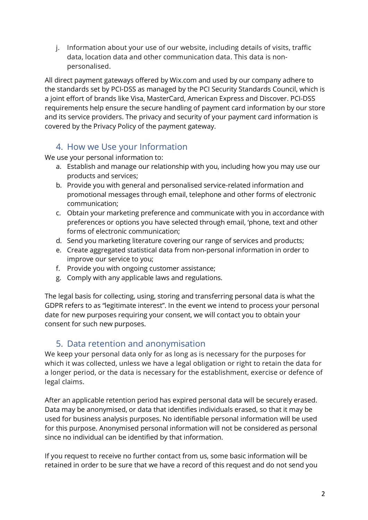j. Information about your use of our website, including details of visits, traffic data, location data and other communication data. This data is nonpersonalised.

All direct payment gateways offered by Wix.com and used by our company adhere to the standards set by PCI-DSS as managed by the PCI Security Standards Council, which is a joint effort of brands like Visa, MasterCard, American Express and Discover. PCI-DSS requirements help ensure the secure handling of payment card information by our store and its service providers. The privacy and security of your payment card information is covered by the Privacy Policy of the payment gateway.

### 4. How we Use your Information

We use your personal information to:

- a. Establish and manage our relationship with you, including how you may use our products and services;
- b. Provide you with general and personalised service-related information and promotional messages through email, telephone and other forms of electronic communication;
- c. Obtain your marketing preference and communicate with you in accordance with preferences or options you have selected through email, 'phone, text and other forms of electronic communication;
- d. Send you marketing literature covering our range of services and products;
- e. Create aggregated statistical data from non-personal information in order to improve our service to you;
- f. Provide you with ongoing customer assistance;
- g. Comply with any applicable laws and regulations.

The legal basis for collecting, using, storing and transferring personal data is what the GDPR refers to as "legitimate interest". In the event we intend to process your personal date for new purposes requiring your consent, we will contact you to obtain your consent for such new purposes.

## 5. Data retention and anonymisation

We keep your personal data only for as long as is necessary for the purposes for which it was collected, unless we have a legal obligation or right to retain the data for a longer period, or the data is necessary for the establishment, exercise or defence of legal claims.

After an applicable retention period has expired personal data will be securely erased. Data may be anonymised, or data that identifies individuals erased, so that it may be used for business analysis purposes. No identifiable personal information will be used for this purpose. Anonymised personal information will not be considered as personal since no individual can be identified by that information.

If you request to receive no further contact from us, some basic information will be retained in order to be sure that we have a record of this request and do not send you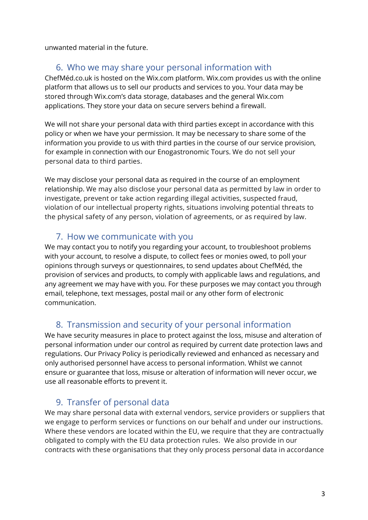unwanted material in the future.

#### 6. Who we may share your personal information with

ChefMéd.co.uk is hosted on the Wix.com platform. Wix.com provides us with the online platform that allows us to sell our products and services to you. Your data may be stored through Wix.com's data storage, databases and the general Wix.com applications. They store your data on secure servers behind a firewall.

We will not share your personal data with third parties except in accordance with this policy or when we have your permission. It may be necessary to share some of the information you provide to us with third parties in the course of our service provision, for example in connection with our Enogastronomic Tours. We do not sell your personal data to third parties.

We may disclose your personal data as required in the course of an employment relationship. We may also disclose your personal data as permitted by law in order to investigate, prevent or take action regarding illegal activities, suspected fraud, violation of our intellectual property rights, situations involving potential threats to the physical safety of any person, violation of agreements, or as required by law.

#### 7. How we communicate with you

We may contact you to notify you regarding your account, to troubleshoot problems with your account, to resolve a dispute, to collect fees or monies owed, to poll your opinions through surveys or questionnaires, to send updates about ChefMéd, the provision of services and products, to comply with applicable laws and regulations, and any agreement we may have with you. For these purposes we may contact you through email, telephone, text messages, postal mail or any other form of electronic communication.

### 8. Transmission and security of your personal information

We have security measures in place to protect against the loss, misuse and alteration of personal information under our control as required by current date protection laws and regulations. Our Privacy Policy is periodically reviewed and enhanced as necessary and only authorised personnel have access to personal information. Whilst we cannot ensure or guarantee that loss, misuse or alteration of information will never occur, we use all reasonable efforts to prevent it.

### 9. Transfer of personal data

We may share personal data with external vendors, service providers or suppliers that we engage to perform services or functions on our behalf and under our instructions. Where these vendors are located within the EU, we require that they are contractually obligated to comply with the EU data protection rules. We also provide in our contracts with these organisations that they only process personal data in accordance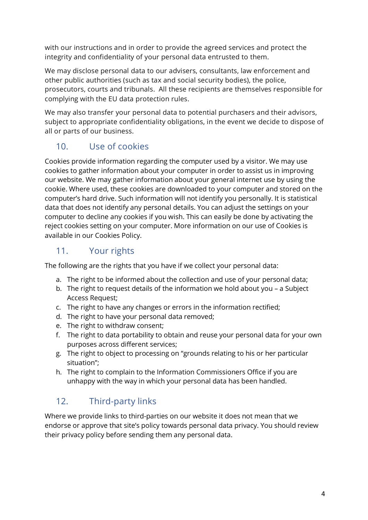with our instructions and in order to provide the agreed services and protect the integrity and confidentiality of your personal data entrusted to them.

We may disclose personal data to our advisers, consultants, law enforcement and other public authorities (such as tax and social security bodies), the police, prosecutors, courts and tribunals. All these recipients are themselves responsible for complying with the EU data protection rules.

We may also transfer your personal data to potential purchasers and their advisors, subject to appropriate confidentiality obligations, in the event we decide to dispose of all or parts of our business.

## 10. Use of cookies

Cookies provide information regarding the computer used by a visitor. We may use cookies to gather information about your computer in order to assist us in improving our website. We may gather information about your general internet use by using the cookie. Where used, these cookies are downloaded to your computer and stored on the computer's hard drive. Such information will not identify you personally. It is statistical data that does not identify any personal details. You can adjust the settings on your computer to decline any cookies if you wish. This can easily be done by activating the reject cookies setting on your computer. More information on our use of Cookies is available in our Cookies Policy.

## 11. Your rights

The following are the rights that you have if we collect your personal data:

- a. The right to be informed about the collection and use of your personal data;
- b. The right to request details of the information we hold about you a Subject Access Request;
- c. The right to have any changes or errors in the information rectified;
- d. The right to have your personal data removed;
- e. The right to withdraw consent;
- f. The right to data portability to obtain and reuse your personal data for your own purposes across different services;
- g. The right to object to processing on "grounds relating to his or her particular situation";
- h. The right to complain to the Information Commissioners Office if you are unhappy with the way in which your personal data has been handled.

## 12. Third-party links

Where we provide links to third-parties on our website it does not mean that we endorse or approve that site's policy towards personal data privacy. You should review their privacy policy before sending them any personal data.